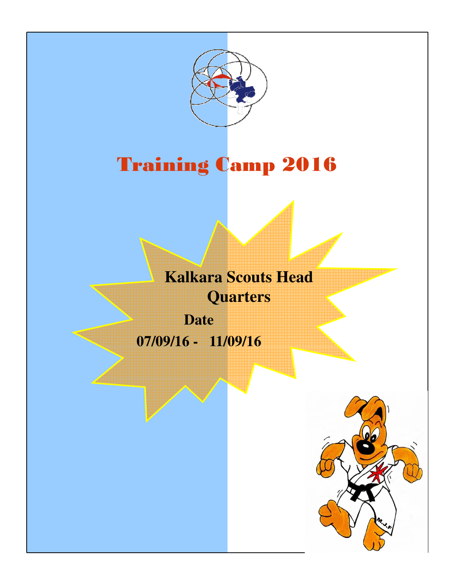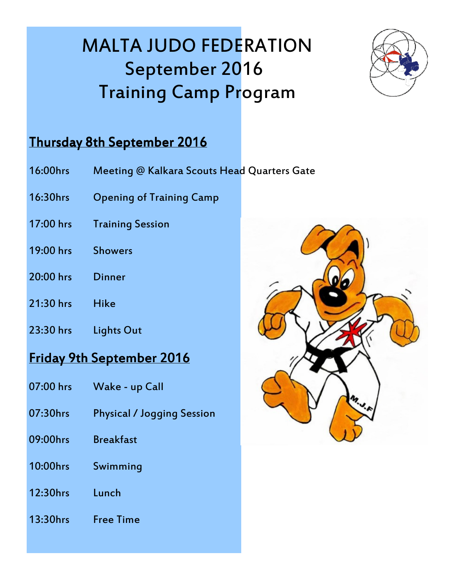

### Thursday 8th September 2016

- 16:00hrs Meeting @ Kalkara Scouts Head Quarters Gate
- 16:30hrs Opening of Training Camp
- 17:00 hrs Training Session
- 19:00 hrs Showers
- 20:00 hrs Dinner
- 21:30 hrs Hike
- 23:30 hrs Lights Out

### Friday 9th September 2016

- 07:00 hrs Wake up Call
- 07:30hrs Physical / Jogging Session
- 09:00hrs Breakfast
- 10:00hrs Swimming
- 12:30hrs Lunch
- 13:30hrs Free Time

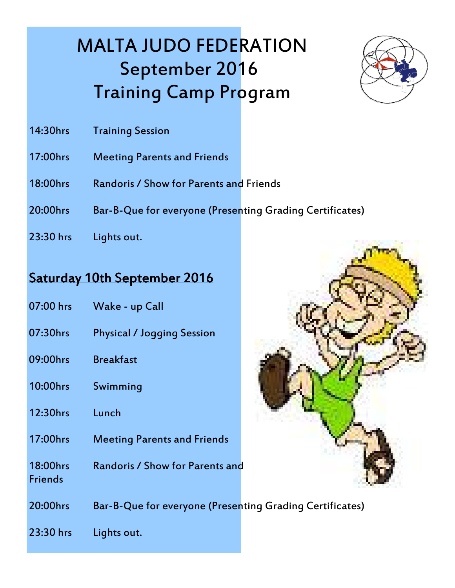

- 14:30hrs Training Session
- 17:00hrs Meeting Parents and Friends
- 18:00hrs Randoris / Show for Parents and Friends
- 20:00hrs Bar-B-Que for everyone (Presenting Grading Certificates)
- 23:30 hrs Lights out.

### Saturday 10th September 2016

- 07:00 hrs Wake up Call
- 07:30hrs Physical / Jogging Session
- 09:00hrs Breakfast
- 10:00hrs Swimming
- 12:30hrs Lunch
- 17:00hrs Meeting Parents and Friends
- 18:00hrs Randoris / Show for Parents and **Friends**



20:00hrs Bar-B-Que for everyone (Presenting Grading Certificates)

23:30 hrs Lights out.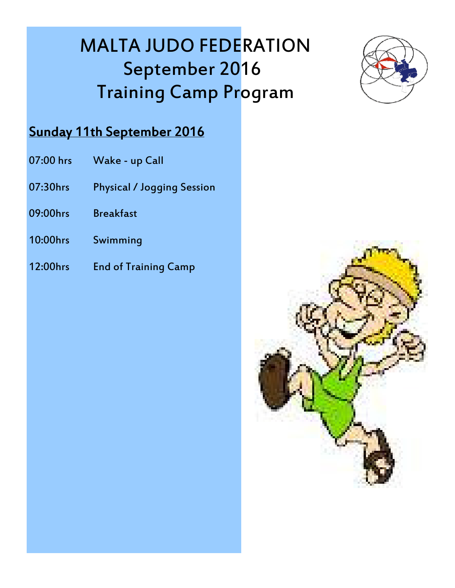

### Sunday 11th September 2016

- 07:00 hrs Wake up Call
- 07:30hrs Physical / Jogging Session
- 09:00hrs Breakfast
- 10:00hrs Swimming
- 12:00hrs End of Training Camp

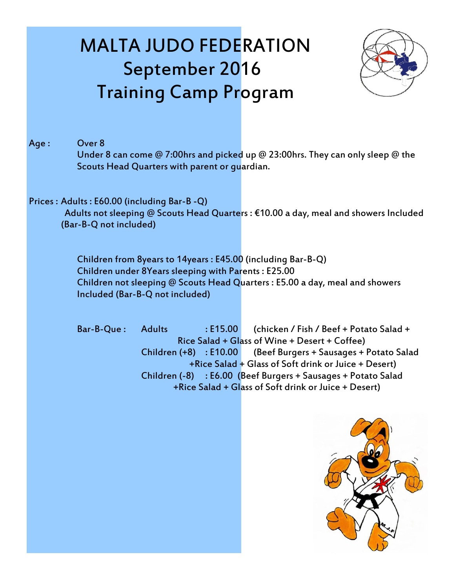

#### Age: Over 8

 Under 8 can come @ 7:00hrs and picked up @ 23:00hrs. They can only sleep @ the Scouts Head Quarters with parent or guardian.

#### Prices : Adults : E60.00 (including Bar-B -Q)

 Adults not sleeping @ Scouts Head Quarters : €10.00 a day, meal and showers Included (Bar-B-Q not included)

 Children from 8years to 14years : E45.00 (including Bar-B-Q) Children under 8Years sleeping with Parents : E25.00 Children not sleeping @ Scouts Head Quarters : E5.00 a day, meal and showers Included (Bar-B-Q not included)

Bar-B-Que: Adults : E15.00 (chicken / Fish / Beef + Potato Salad + Rice Salad + Glass of Wine + Desert + Coffee) Children (+8) : E10.00 (Beef Burgers + Sausages + Potato Salad +Rice Salad + Glass of Soft drink or Juice + Desert) Children (-8) : E6.00 (Beef Burgers + Sausages + Potato Salad +Rice Salad + Glass of Soft drink or Juice + Desert)

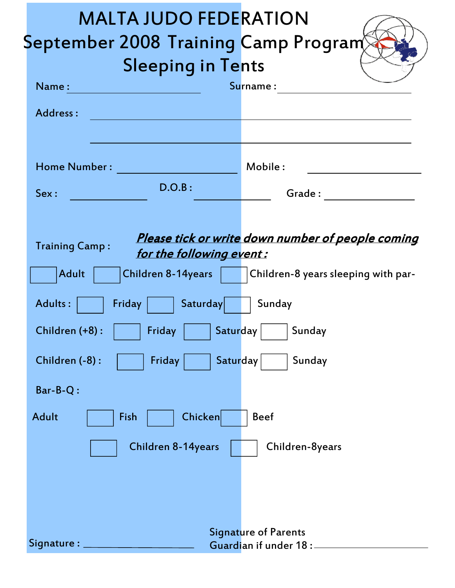| <b>MALTA JUDO FEDERATION</b>                                                                                                                                                                                                                     |
|--------------------------------------------------------------------------------------------------------------------------------------------------------------------------------------------------------------------------------------------------|
| September 2008 Training Camp Program<br><b>Sleeping in Tents</b>                                                                                                                                                                                 |
| Surname:<br>Name:                                                                                                                                                                                                                                |
| Address:                                                                                                                                                                                                                                         |
|                                                                                                                                                                                                                                                  |
| <b>Home Number:</b><br>Mobile:                                                                                                                                                                                                                   |
| D.O.B:<br>Sex:<br>Grade : The contract of the contract of the contract of the contract of the contract of the contract of the contract of the contract of the contract of the contract of the contract of the contract of the contract of the co |
|                                                                                                                                                                                                                                                  |
| Please tick or write down number of people coming<br><b>Training Camp:</b><br>for the following event:                                                                                                                                           |
| <b>Children 8-14years</b><br><b>Adult</b><br>  Children-8 years sleeping with par-                                                                                                                                                               |
| Saturday<br><b>Adults:</b><br>Friday<br>Sunday                                                                                                                                                                                                   |
| Friday<br>Saturday<br>Children (+8):<br>Sunday                                                                                                                                                                                                   |
| Saturday<br>Children (-8):<br><b>Friday</b><br>Sunday                                                                                                                                                                                            |
| Bar-B-Q:                                                                                                                                                                                                                                         |
| <b>Adult</b><br>Chicken<br>Fish<br><b>Beef</b>                                                                                                                                                                                                   |
| <b>Children 8-14years</b><br>Children-8years                                                                                                                                                                                                     |
|                                                                                                                                                                                                                                                  |
|                                                                                                                                                                                                                                                  |
| <b>Signature of Parents</b>                                                                                                                                                                                                                      |
| Signature : $\_$<br>Guardian if under 18 :                                                                                                                                                                                                       |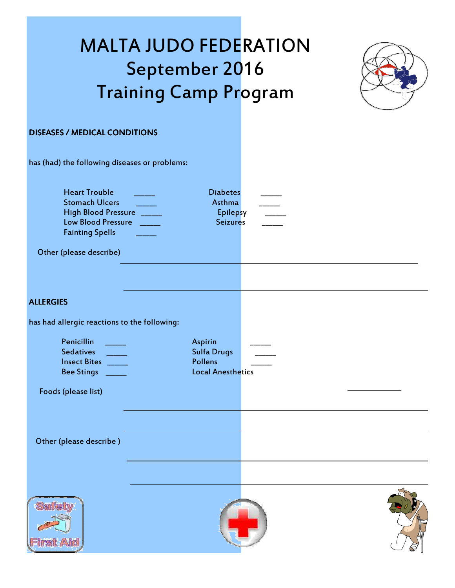

#### DISEASES / MEDICAL CONDITIONS

has (had) the following diseases or problems: Heart Trouble **Executive Contract Provide** Diabetes Stomach Ulcers **Asthma Asthma** High Blood Pressure **\_\_\_\_\_\_** Epilepsy Low Blood Pressure **Latter Lines and Seizures** Seizures Fainting Spells \_\_\_\_\_\_ Other (please describe)

#### **ALLERGIES**

has had allergic reactions to the following:

| Penicillin<br><b>Sedatives</b><br><b>Insect Bites</b><br><b>Bee Stings</b> | <b>Aspirin</b><br><b>Sulfa Drugs</b><br><b>Pollens</b><br><b>Local Anesthetics</b> |  |
|----------------------------------------------------------------------------|------------------------------------------------------------------------------------|--|
|                                                                            |                                                                                    |  |

Foods (please list)

Other (please describe )





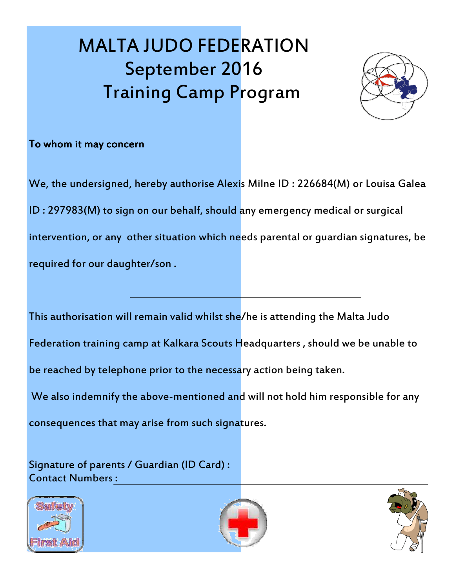

#### To whom it may concern

We, the undersigned, hereby authorise Alexis Milne ID : 226684(M) or Louisa Galea ID : 297983(M) to sign on our behalf, should any emergency medical or surgical intervention, or any other situation which needs parental or guardian signatures, be required for our daughter/son .

This authorisation will remain valid whilst she/he is attending the Malta Judo

Federation training camp at Kalkara Scouts Headquarters , should we be unable to

be reached by telephone prior to the necessary action being taken.

We also indemnify the above-mentioned and will not hold him responsible for any

consequences that may arise from such signatures.

Signature of parents / Guardian (ID Card) : Contact Numbers :